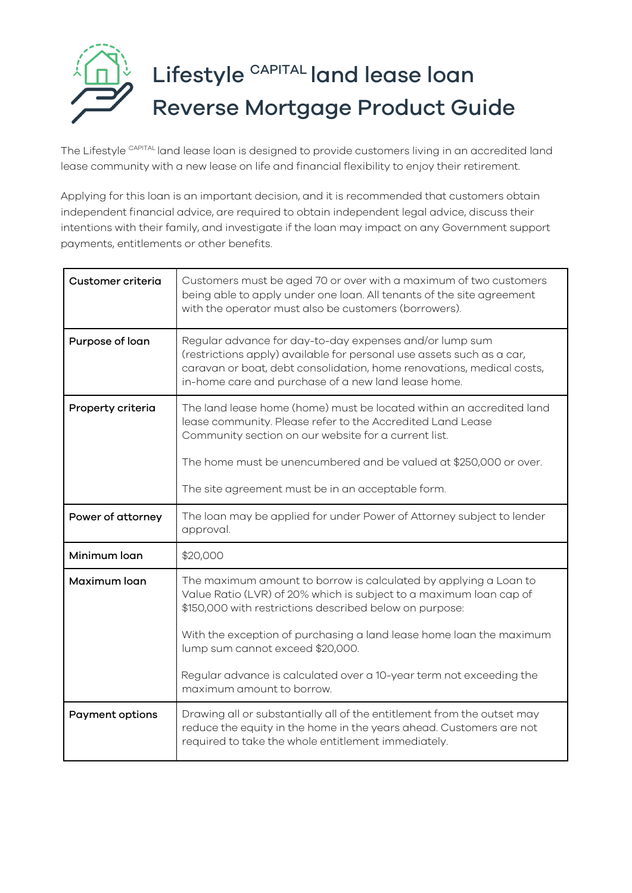

The Lifestyle CAPITAL land lease loan is designed to provide customers living in an accredited land lease community with a new lease on life and financial flexibility to enjoy their retirement.

Applying for this loan is an important decision, and it is recommended that customers obtain independent financial advice, are required to obtain independent legal advice, discuss their intentions with their family, and investigate if the loan may impact on any Government support payments, entitlements or other benefits.

| Customer criteria      | Customers must be aged 70 or over with a maximum of two customers<br>being able to apply under one loan. All tenants of the site agreement<br>with the operator must also be customers (borrowers).                                                              |
|------------------------|------------------------------------------------------------------------------------------------------------------------------------------------------------------------------------------------------------------------------------------------------------------|
| Purpose of loan        | Regular advance for day-to-day expenses and/or lump sum<br>(restrictions apply) available for personal use assets such as a car,<br>caravan or boat, debt consolidation, home renovations, medical costs,<br>in-home care and purchase of a new land lease home. |
| Property criteria      | The land lease home (home) must be located within an accredited land<br>lease community. Please refer to the Accredited Land Lease<br>Community section on our website for a current list.                                                                       |
|                        | The home must be unencumbered and be valued at \$250,000 or over.                                                                                                                                                                                                |
|                        | The site agreement must be in an acceptable form.                                                                                                                                                                                                                |
| Power of attorney      | The loan may be applied for under Power of Attorney subject to lender<br>approval.                                                                                                                                                                               |
| Minimum loan           | \$20,000                                                                                                                                                                                                                                                         |
| Maximum loan           | The maximum amount to borrow is calculated by applying a Loan to<br>Value Ratio (LVR) of 20% which is subject to a maximum loan cap of<br>\$150,000 with restrictions described below on purpose:                                                                |
|                        | With the exception of purchasing a land lease home loan the maximum<br>lump sum cannot exceed \$20,000.                                                                                                                                                          |
|                        | Regular advance is calculated over a 10-year term not exceeding the<br>maximum amount to borrow.                                                                                                                                                                 |
| <b>Payment options</b> | Drawing all or substantially all of the entitlement from the outset may<br>reduce the equity in the home in the years ahead. Customers are not<br>required to take the whole entitlement immediately.                                                            |